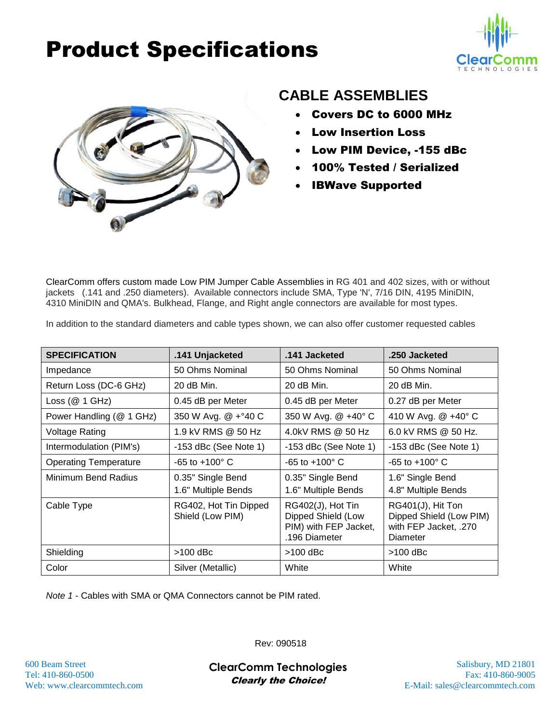## Product Specifications





### **CABLE ASSEMBLIES**

- Covers DC to 6000 MHz
- Low Insertion Loss
- Low PIM Device, -155 dBc
- 100% Tested / Serialized
- IBWave Supported

ClearComm offers custom made Low PIM Jumper Cable Assemblies in RG 401 and 402 sizes, with or without jackets (.141 and .250 diameters). Available connectors include SMA, Type 'N', 7/16 DIN, 4195 MiniDIN, 4310 MiniDIN and QMA's. Bulkhead, Flange, and Right angle connectors are available for most types.

| In addition to the standard diameters and cable types shown, we can also offer customer requested cables |  |
|----------------------------------------------------------------------------------------------------------|--|
|----------------------------------------------------------------------------------------------------------|--|

| <b>SPECIFICATION</b>         | .141 Unjacketed                           | .141 Jacketed                                                                     | .250 Jacketed                                                                     |
|------------------------------|-------------------------------------------|-----------------------------------------------------------------------------------|-----------------------------------------------------------------------------------|
| Impedance                    | 50 Ohms Nominal                           | 50 Ohms Nominal                                                                   | 50 Ohms Nominal                                                                   |
| Return Loss (DC-6 GHz)       | 20 dB Min.                                | 20 dB Min.                                                                        | 20 dB Min.                                                                        |
| Loss $(@ 1 GHz)$             | 0.45 dB per Meter                         | 0.45 dB per Meter                                                                 | 0.27 dB per Meter                                                                 |
| Power Handling (@ 1 GHz)     | 350 W Avg. @ +°40 C                       | 350 W Avg. @ +40° C                                                               | 410 W Avg. @ +40° C                                                               |
| <b>Voltage Rating</b>        | 1.9 kV RMS @ 50 Hz                        | 4.0kV RMS @ 50 Hz                                                                 | 6.0 kV RMS @ 50 Hz.                                                               |
| Intermodulation (PIM's)      | $-153$ dBc (See Note 1)                   | $-153$ dBc (See Note 1)                                                           | $-153$ dBc (See Note 1)                                                           |
| <b>Operating Temperature</b> | $-65$ to $+100^{\circ}$ C                 | $-65$ to $+100^{\circ}$ C                                                         | $-65$ to $+100^{\circ}$ C                                                         |
| Minimum Bend Radius          | 0.35" Single Bend<br>1.6" Multiple Bends  | 0.35" Single Bend<br>1.6" Multiple Bends                                          | 1.6" Single Bend<br>4.8" Multiple Bends                                           |
| Cable Type                   | RG402, Hot Tin Dipped<br>Shield (Low PIM) | RG402(J), Hot Tin<br>Dipped Shield (Low<br>PIM) with FEP Jacket,<br>.196 Diameter | RG401(J), Hit Ton<br>Dipped Shield (Low PIM)<br>with FEP Jacket, .270<br>Diameter |
| Shielding                    | $>100$ dBc                                | $>100$ dBc                                                                        | $>100$ dBc                                                                        |
| Color                        | Silver (Metallic)                         | White                                                                             | White                                                                             |

*Note 1* - Cables with SMA or QMA Connectors cannot be PIM rated.

Rev: 090518

600 Beam Street Salisbury, MD 21801 **ClearComm Technologies** Tel: 410-860-0500 Fax: 410-860-9005 Clearly the Choice!